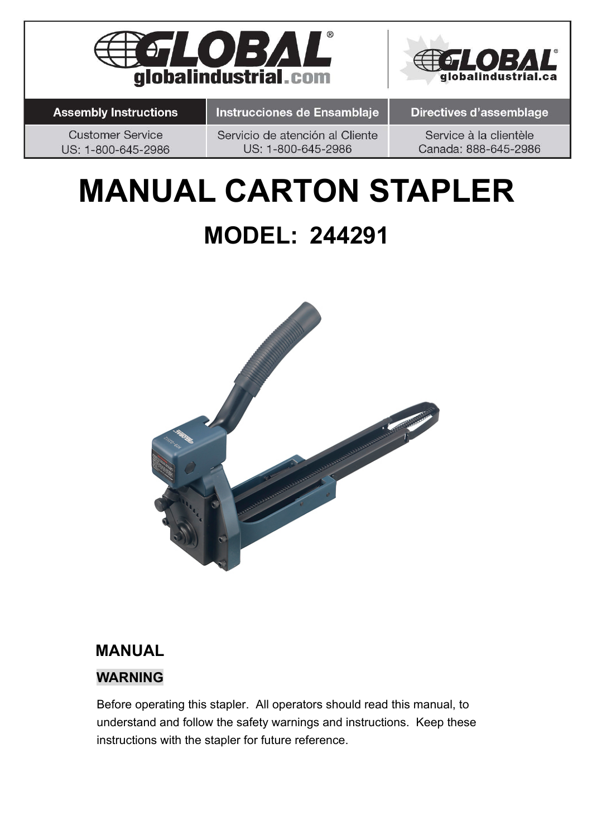



**Assembly Instructions** 

Instrucciones de Ensamblaje

**Directives d'assemblage** 

**Customer Service** US: 1-800-645-2986 Servicio de atención al Cliente US: 1-800-645-2986

Service à la clientèle Canada: 888-645-2986

# **MANUAL CARTON STAPLER MODEL: 244291**



### **MANUAL**

#### **WARNING**

Before operating this stapler. All operators should read this manual, to understand and follow the safety warnings and instructions. Keep these instructions with the stapler for future reference.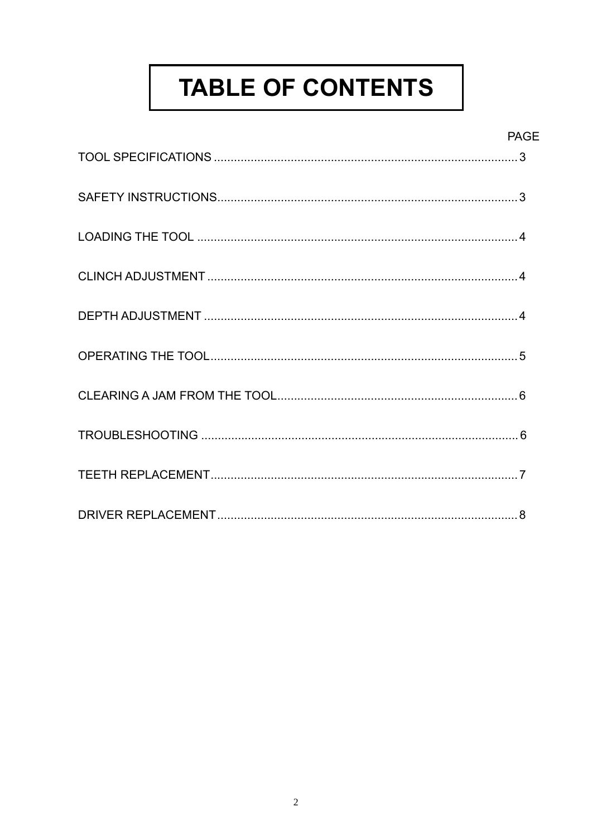# **TABLE OF CONTENTS**

#### **PAGE**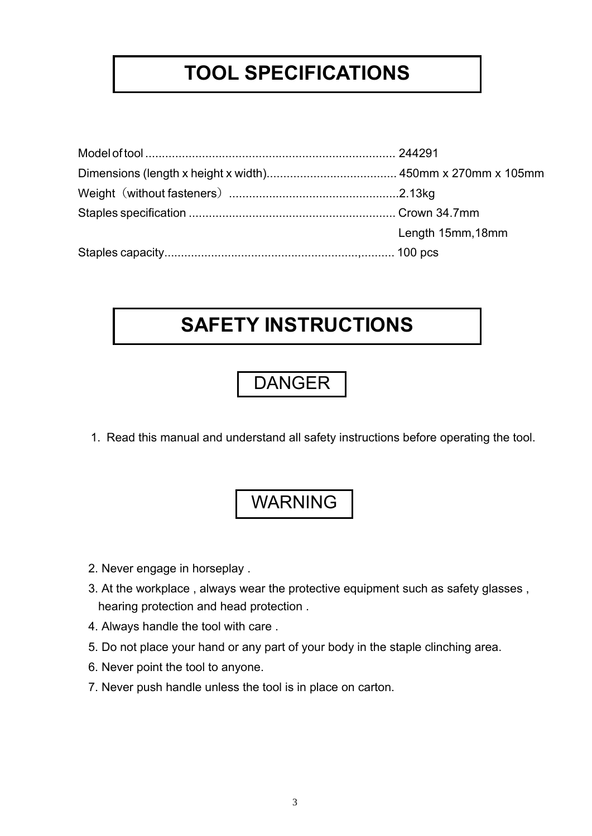### **TOOL SPECIFICATIONS**

| Length 15mm, 18mm |  |  |  |
|-------------------|--|--|--|
|                   |  |  |  |

### **SAFETY INSTRUCTIONS**

### DANGER

1. Read this manual and understand all safety instructions before operating the tool.

#### WARNING

- 2. Never engage in horseplay .
- 3. At the workplace , always wear the protective equipment such as safety glasses , hearing protection and head protection .
- 4. Always handle the tool with care .
- 5. Do not place your hand or any part of your body in the staple clinching area.
- 6. Never point the tool to anyone.
- 7. Never push handle unless the tool is in place on carton.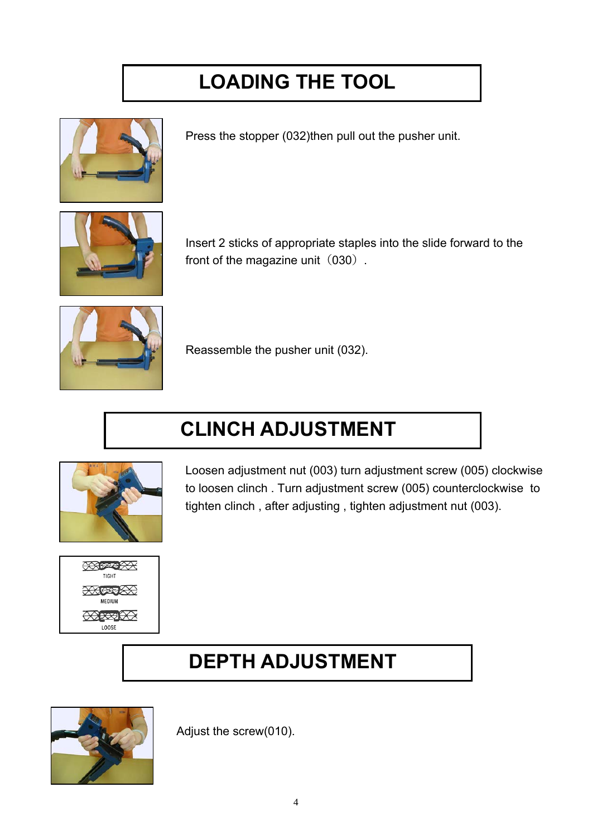# **LOADING THE TOOL**



Press the stopper (032)then pull out the pusher unit.



Insert 2 sticks of appropriate staples into the slide forward to the front of the magazine unit  $(030)$ .



Reassemble the pusher unit (032).

# **CLINCH ADJUSTMENT**



Loosen adjustment nut (003) turn adjustment screw (005) clockwise to loosen clinch . Turn adjustment screw (005) counterclockwise to tighten clinch , after adjusting , tighten adjustment nut (003).



### **DEPTH ADJUSTMENT**



Adjust the screw(010).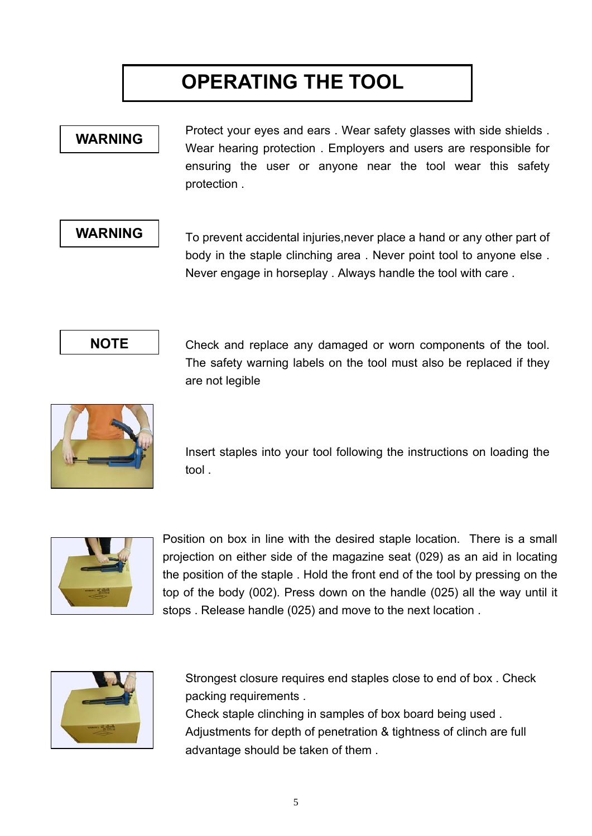# **OPERATING THE TOOL**

#### **WARNING**

Protect your eyes and ears . Wear safety glasses with side shields . Wear hearing protection . Employers and users are responsible for ensuring the user or anyone near the tool wear this safety protection .

#### **WARNING**

To prevent accidental injuries,never place a hand or any other part of body in the staple clinching area . Never point tool to anyone else . Never engage in horseplay . Always handle the tool with care .



Check and replace any damaged or worn components of the tool. The safety warning labels on the tool must also be replaced if they are not legible



Insert staples into your tool following the instructions on loading the tool .



Position on box in line with the desired staple location. There is a small projection on either side of the magazine seat (029) as an aid in locating the position of the staple . Hold the front end of the tool by pressing on the top of the body (002). Press down on the handle (025) all the way until it stops . Release handle (025) and move to the next location .



Strongest closure requires end staples close to end of box . Check packing requirements .

Check staple clinching in samples of box board being used . Adjustments for depth of penetration & tightness of clinch are full advantage should be taken of them .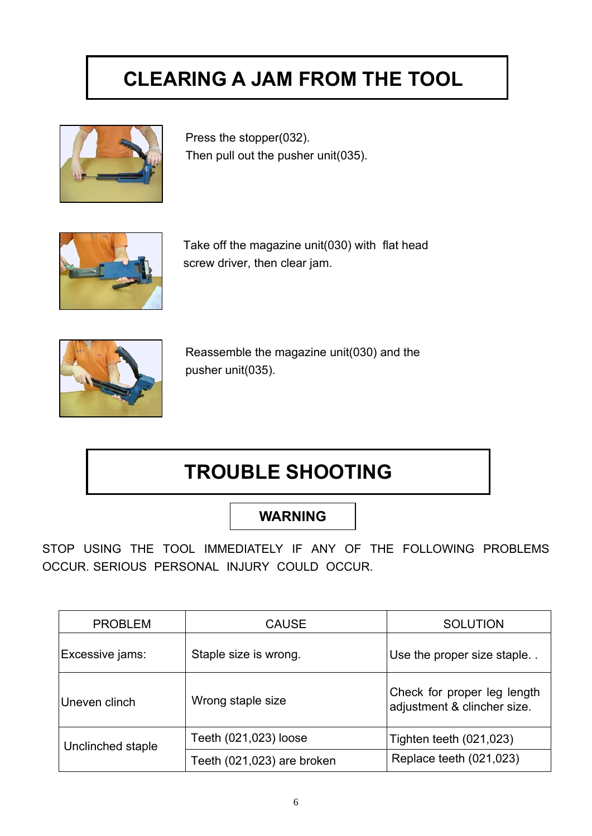# **CLEARING A JAM FROM THE TOOL**



Press the stopper(032). Then pull out the pusher unit(035).



Take off the magazine unit(030) with flat head screw driver, then clear jam.



Reassemble the magazine unit(030) and the pusher unit(035).

### **TROUBLE SHOOTING**

#### **WARNING**

STOP USING THE TOOL IMMEDIATELY IF ANY OF THE FOLLOWING PROBLEMS OCCUR. SERIOUS PERSONAL INJURY COULD OCCUR.

| <b>PROBLEM</b>    | <b>CAUSE</b>               | <b>SOLUTION</b>                                            |  |  |  |
|-------------------|----------------------------|------------------------------------------------------------|--|--|--|
| Excessive jams:   | Staple size is wrong.      | Use the proper size staple                                 |  |  |  |
| Uneven clinch     | Wrong staple size          | Check for proper leg length<br>adjustment & clincher size. |  |  |  |
| Unclinched staple | Teeth (021,023) loose      | Tighten teeth (021,023)                                    |  |  |  |
|                   | Teeth (021,023) are broken | Replace teeth (021,023)                                    |  |  |  |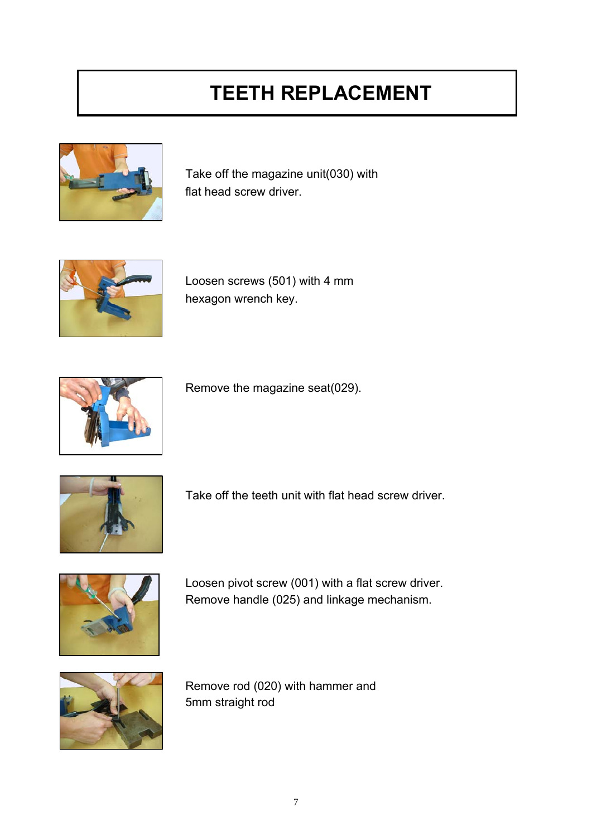# **TEETH REPLACEMENT**



Take off the magazine unit(030) with flat head screw driver.



Loosen screws (501) with 4 mm hexagon wrench key.



Remove the magazine seat(029).



Take off the teeth unit with flat head screw driver.



Loosen pivot screw (001) with a flat screw driver. Remove handle (025) and linkage mechanism.



Remove rod (020) with hammer and 5mm straight rod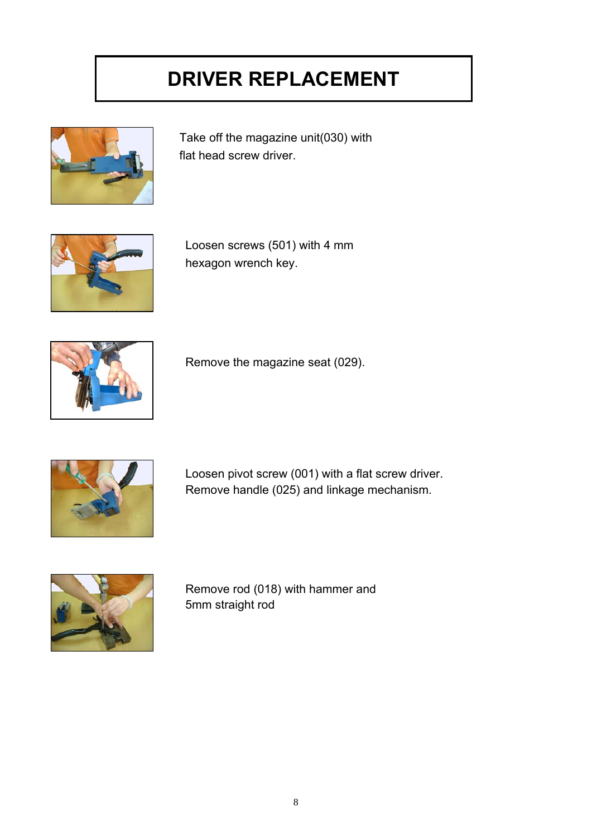# **DRIVER REPLACEMENT**



Take off the magazine unit(030) with flat head screw driver.



Loosen screws (501) with 4 mm hexagon wrench key.



Remove the magazine seat (029).



Loosen pivot screw (001) with a flat screw driver. Remove handle (025) and linkage mechanism.



Remove rod (018) with hammer and 5mm straight rod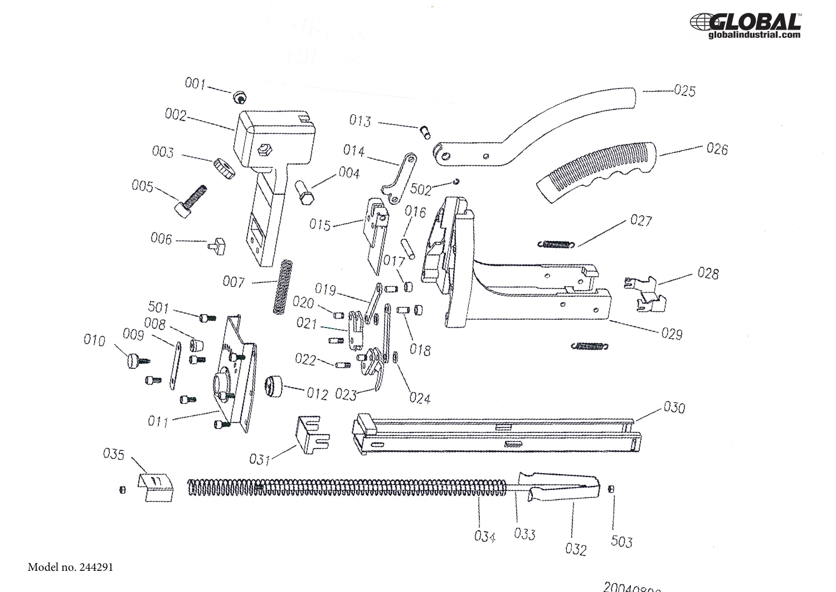



 $\mathbf{s}$ 

Model no. 244291

 $20040900$